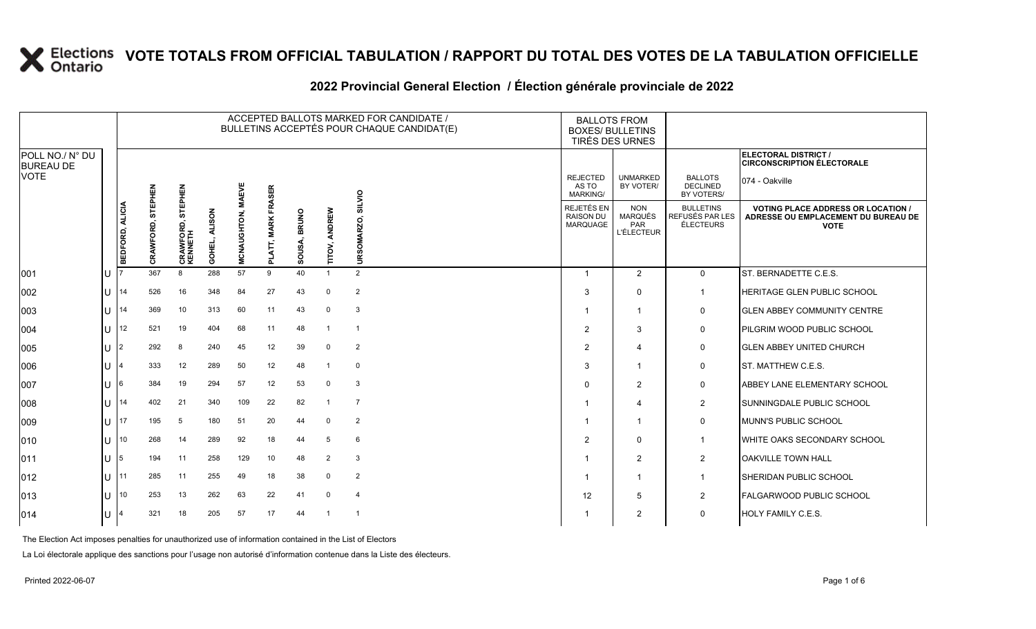#### **2022 Provincial General Election / Élection générale provinciale de 2022**

|                                     |     |                 |                             |                             |                         |              |                  |                              |                  |                | ACCEPTED BALLOTS MARKED FOR CANDIDATE /<br>BULLETINS ACCEPTÉS POUR CHAQUE CANDIDAT(E) | <b>BALLOTS FROM</b><br><b>BOXES/ BULLETINS</b><br>TIRÉS DES URNES |                                                                 |                                                         |                                                                                                 |
|-------------------------------------|-----|-----------------|-----------------------------|-----------------------------|-------------------------|--------------|------------------|------------------------------|------------------|----------------|---------------------------------------------------------------------------------------|-------------------------------------------------------------------|-----------------------------------------------------------------|---------------------------------------------------------|-------------------------------------------------------------------------------------------------|
| POLL NO./ N° DU<br><b>BUREAU DE</b> |     |                 |                             |                             |                         |              |                  |                              |                  |                |                                                                                       |                                                                   |                                                                 |                                                         | ELECTORAL DISTRICT /<br><b>CIRCONSCRIPTION ÉLECTORALE</b>                                       |
| <b>VOTE</b>                         |     |                 | EPHEN                       | EPHEN                       |                         | <b>MAEVE</b> | FRASER           |                              |                  | SILVIO         |                                                                                       | <b>REJECTED</b><br>AS TO<br><b>MARKING/</b>                       | <b>UNMARKED</b><br>BY VOTER/                                    | <b>BALLOTS</b><br><b>DECLINED</b><br>BY VOTERS/         | 074 - Oakville                                                                                  |
|                                     |     | BEDFORD, ALICIA | 5<br>ó<br>홍<br><b>CRAWF</b> | 듮<br>CRAWFORD, S<br>KENNETH | <b>ALISON</b><br>GOHEL, | MCNAUGHTON,  | <b>MARK</b><br>ᇍ | <b>BRUNO</b><br>ഩഁ<br>5<br>ø | ANDREW<br>TITOV, | URSOMARZO,     |                                                                                       | REJETÉS EN<br><b>RAISON DU</b><br>MARQUAGE                        | <b>NON</b><br><b>MARQUÉS</b><br><b>PAR</b><br><b>L'ÉLECTEUR</b> | <b>BULLETINS</b><br>REFUSÉS PAR LES<br><b>ÉLECTEURS</b> | <b>VOTING PLACE ADDRESS OR LOCATION /</b><br>ADRESSE OU EMPLACEMENT DU BUREAU DE<br><b>VOTE</b> |
| 001                                 | IU  |                 | 367                         | 8                           | 288                     | 57           | 9                | 40                           |                  | $\overline{2}$ |                                                                                       |                                                                   | $\overline{2}$                                                  | $\mathbf{0}$                                            | ST. BERNADETTE C.E.S.                                                                           |
| 002                                 | IU. | 14              | 526                         | 16                          | 348                     | 84           | 27               | 43                           | $\Omega$         | $\overline{2}$ |                                                                                       | 3                                                                 | $\mathbf 0$                                                     | $\overline{1}$                                          | <b>HERITAGE GLEN PUBLIC SCHOOL</b>                                                              |
| 003                                 | ΙU  | 14              | 369                         | 10                          | 313                     | 60           | 11               | 43                           | $\Omega$         | 3              |                                                                                       |                                                                   | 1                                                               | 0                                                       | <b>GLEN ABBEY COMMUNITY CENTRE</b>                                                              |
| 004                                 | IU. | 12              | 521                         | 19                          | 404                     | 68           | 11               | 48                           | -1               | $\overline{1}$ |                                                                                       | $\overline{2}$                                                    | 3                                                               | $\mathbf 0$                                             | PILGRIM WOOD PUBLIC SCHOOL                                                                      |
| 005                                 | IU. | 12              | 292                         | 8                           | 240                     | 45           | 12               | 39                           | $\Omega$         | $\overline{2}$ |                                                                                       | $\overline{2}$                                                    | $\overline{4}$                                                  | $\mathbf 0$                                             | <b>GLEN ABBEY UNITED CHURCH</b>                                                                 |
| 006                                 | ΙU  |                 | 333                         | 12                          | 289                     | 50           | 12               | 48                           |                  | $\mathbf 0$    |                                                                                       | 3                                                                 |                                                                 | $\mathbf 0$                                             | ST. MATTHEW C.E.S.                                                                              |
| 007                                 | IU. | 16.             | 384                         | 19                          | 294                     | 57           | 12               | 53                           | $\Omega$         | 3              |                                                                                       | $\Omega$                                                          | $\overline{2}$                                                  | $\mathbf 0$                                             | <b>ABBEY LANE ELEMENTARY SCHOOL</b>                                                             |
| 008                                 | ΙU  | 14              | 402                         | 21                          | 340                     | 109          | 22               | 82                           |                  | $\overline{7}$ |                                                                                       |                                                                   | 4                                                               | $\overline{2}$                                          | SUNNINGDALE PUBLIC SCHOOL                                                                       |
| 009                                 | ΙU  | 17              | 195                         | 5                           | 180                     | 51           | 20               | 44                           | $\Omega$         | $\overline{2}$ |                                                                                       |                                                                   | 1                                                               | $\mathbf 0$                                             | MUNN'S PUBLIC SCHOOL                                                                            |
| 010                                 | ΙU  | 10              | 268                         | 14                          | 289                     | 92           | 18               | 44                           | 5                | 6              |                                                                                       | $\mathcal{P}$                                                     | $\Omega$                                                        | $\overline{1}$                                          | <b>WHITE OAKS SECONDARY SCHOOL</b>                                                              |
| 011                                 | lU  | 15              | 194                         | 11                          | 258                     | 129          | 10               | 48                           | $\overline{2}$   | 3              |                                                                                       |                                                                   | $\overline{2}$                                                  | $\overline{2}$                                          | OAKVILLE TOWN HALL                                                                              |
| 012                                 | lU. | 11              | 285                         | 11                          | 255                     | 49           | 18               | 38                           | $\Omega$         | $\overline{2}$ |                                                                                       |                                                                   | $\mathbf 1$                                                     | $\overline{1}$                                          | SHERIDAN PUBLIC SCHOOL                                                                          |
| 013                                 | ΙU  | 10              | 253                         | 13                          | 262                     | 63           | 22               | 41                           | $\Omega$         | 4              |                                                                                       | 12                                                                | 5                                                               | 2                                                       | <b>FALGARWOOD PUBLIC SCHOOL</b>                                                                 |
| 014                                 | lU  |                 | 321                         | 18                          | 205                     | 57           | 17               | 44                           |                  | -1             |                                                                                       |                                                                   | 2                                                               | $\mathbf 0$                                             | <b>HOLY FAMILY C.E.S.</b>                                                                       |

The Election Act imposes penalties for unauthorized use of information contained in the List of Electors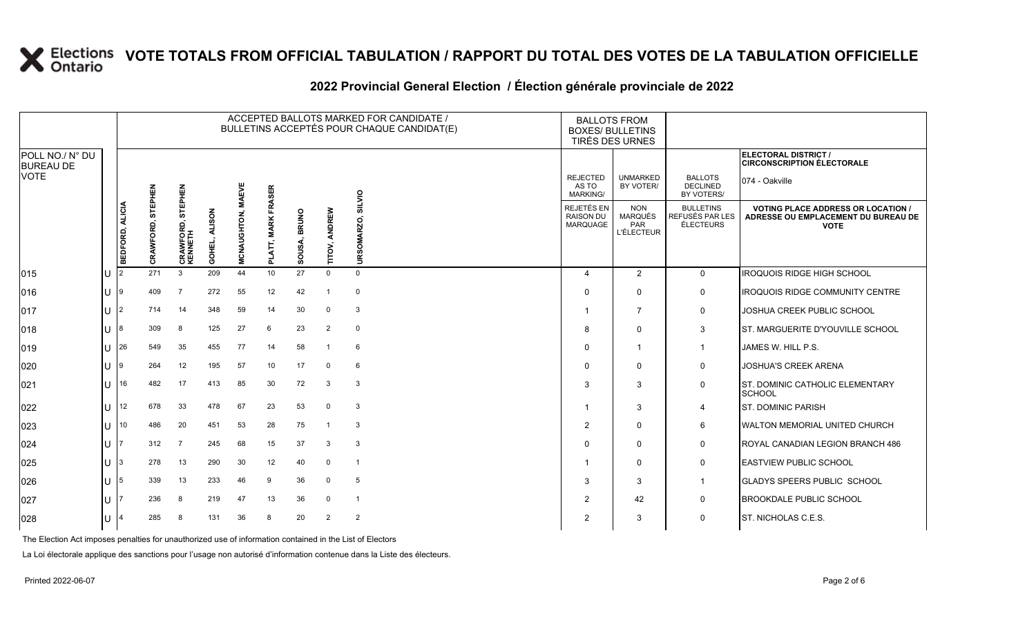#### **2022 Provincial General Election / Élection générale provinciale de 2022**

|                                     |     |                 | ACCEPTED BALLOTS MARKED FOR CANDIDATE /<br>BULLETINS ACCEPTÉS POUR CHAQUE CANDIDAT(E) |                        |                         |              |                                              |                   |                         |                |  | <b>BALLOTS FROM</b><br><b>BOXES/ BULLETINS</b><br>TIRÉS DES URNES |                                                                 |                                                         |                                                                                                 |
|-------------------------------------|-----|-----------------|---------------------------------------------------------------------------------------|------------------------|-------------------------|--------------|----------------------------------------------|-------------------|-------------------------|----------------|--|-------------------------------------------------------------------|-----------------------------------------------------------------|---------------------------------------------------------|-------------------------------------------------------------------------------------------------|
| POLL NO./ N° DU<br><b>BUREAU DE</b> |     |                 |                                                                                       |                        |                         |              |                                              |                   |                         |                |  |                                                                   |                                                                 |                                                         | ELECTORAL DISTRICT /<br><b>CIRCONSCRIPTION ÉLECTORALE</b>                                       |
| <b>VOTE</b>                         |     |                 | <b>STEPHEN</b>                                                                        | STEPHEN                |                         | <b>MAEVE</b> | <b>FRASER</b>                                |                   |                         | SILVIO         |  | <b>REJECTED</b><br>AS TO<br><b>MARKING/</b>                       | <b>UNMARKED</b><br>BY VOTER/                                    | <b>BALLOTS</b><br><b>DECLINED</b><br>BY VOTERS/         | 074 - Oakville                                                                                  |
|                                     |     | BEDFORD, ALICIA | ORD,<br>CRAWF                                                                         | CRAWFORD, S<br>KENNETH | <b>ALISON</b><br>GOHEL, | MCNAUGHTON,  | <b>MARKI</b><br>₹<br>$\overline{\mathbf{a}}$ | OUSA, BRUNO<br>ō, | ANDREW<br><b>TITOV,</b> | URSOMARZO,     |  | REJETÉS EN<br><b>RAISON DU</b><br>MARQUAGE                        | <b>NON</b><br><b>MARQUÉS</b><br><b>PAR</b><br><b>L'ÉLECTEUR</b> | <b>BULLETINS</b><br>REFUSÉS PAR LES<br><b>ÉLECTEURS</b> | <b>VOTING PLACE ADDRESS OR LOCATION /</b><br>ADRESSE OU EMPLACEMENT DU BUREAU DE<br><b>VOTE</b> |
| 015                                 | lu  | 2               | 271                                                                                   | 3                      | 209                     | 44           | 10 <sup>1</sup>                              | 27                | $\mathbf 0$             | $\Omega$       |  | $\overline{4}$                                                    | 2                                                               | $\mathbf 0$                                             | <b>IROQUOIS RIDGE HIGH SCHOOL</b>                                                               |
| 016                                 | lu  | 19              | 409                                                                                   | $\overline{7}$         | 272                     | 55           | 12                                           | 42                | -1                      | $\mathbf{0}$   |  | $\Omega$                                                          | $\Omega$                                                        | 0                                                       | <b>IROQUOIS RIDGE COMMUNITY CENTRE</b>                                                          |
| 017                                 | lu  | 12              | 714                                                                                   | 14                     | 348                     | 59           | 14                                           | 30                | $\mathbf 0$             | 3              |  |                                                                   | $\overline{7}$                                                  | 0                                                       | JOSHUA CREEK PUBLIC SCHOOL                                                                      |
| 018                                 | lu. | 18              | 309                                                                                   | 8                      | 125                     | 27           | 6                                            | 23                | $\overline{2}$          | 0              |  | 8                                                                 | $\mathbf 0$                                                     | 3                                                       | ST. MARGUERITE D'YOUVILLE SCHOOL                                                                |
| 019                                 | ΙU  | 26              | 549                                                                                   | 35                     | 455                     | 77           | 14                                           | 58                | -1                      | 6              |  | $\Omega$                                                          | $\overline{1}$                                                  | $\overline{1}$                                          | JAMES W. HILL P.S.                                                                              |
| 020                                 | ΙU  | ۱g              | 264                                                                                   | 12                     | 195                     | 57           | 10                                           | 17                | $\mathbf 0$             | 6              |  | $\Omega$                                                          | $\Omega$                                                        | $\mathbf 0$                                             | <b>JOSHUA'S CREEK ARENA</b>                                                                     |
| 021                                 | lu  | 16              | 482                                                                                   | 17                     | 413                     | 85           | 30                                           | 72                | 3                       | 3              |  | 3                                                                 | 3                                                               | $\mathbf 0$                                             | ST. DOMINIC CATHOLIC ELEMENTARY<br><b>SCHOOL</b>                                                |
| 022                                 | lul | 12              | 678                                                                                   | 33                     | 478                     | 67           | 23                                           | 53                | $\mathbf 0$             | 3              |  |                                                                   | 3                                                               | 4                                                       | <b>ST. DOMINIC PARISH</b>                                                                       |
| 023                                 | lU  | 10              | 486                                                                                   | 20                     | 451                     | 53           | 28                                           | 75                | -1                      | 3              |  | 2                                                                 | $\Omega$                                                        | 6                                                       | <b>WALTON MEMORIAL UNITED CHURCH</b>                                                            |
| 024                                 | lU. |                 | 312                                                                                   | $\overline{7}$         | 245                     | 68           | 15                                           | 37                | 3                       | 3              |  | $\Omega$                                                          | $\mathbf 0$                                                     | 0                                                       | ROYAL CANADIAN LEGION BRANCH 486                                                                |
| 025                                 | lU  | 13              | 278                                                                                   | 13                     | 290                     | 30           | 12                                           | 40                | $\mathbf 0$             | -1             |  |                                                                   | $\mathbf 0$                                                     | 0                                                       | <b>EASTVIEW PUBLIC SCHOOL</b>                                                                   |
| 026                                 | lU  | 15              | 339                                                                                   | 13                     | 233                     | 46           | 9                                            | 36                | $\mathbf 0$             | 5              |  | 3                                                                 | 3                                                               | $\mathbf{1}$                                            | <b>GLADYS SPEERS PUBLIC SCHOOL</b>                                                              |
| 027                                 | lU  |                 | 236                                                                                   | 8                      | 219                     | 47           | 13                                           | 36                | $\mathbf 0$             | $\overline{1}$ |  | 2                                                                 | 42                                                              | 0                                                       | <b>BROOKDALE PUBLIC SCHOOL</b>                                                                  |
| 028                                 | lu  |                 | 285                                                                                   | 8                      | 131                     | 36           | -8                                           | 20                | 2                       | $\overline{2}$ |  | $\overline{2}$                                                    | 3                                                               | 0                                                       | ST. NICHOLAS C.E.S.                                                                             |

The Election Act imposes penalties for unauthorized use of information contained in the List of Electors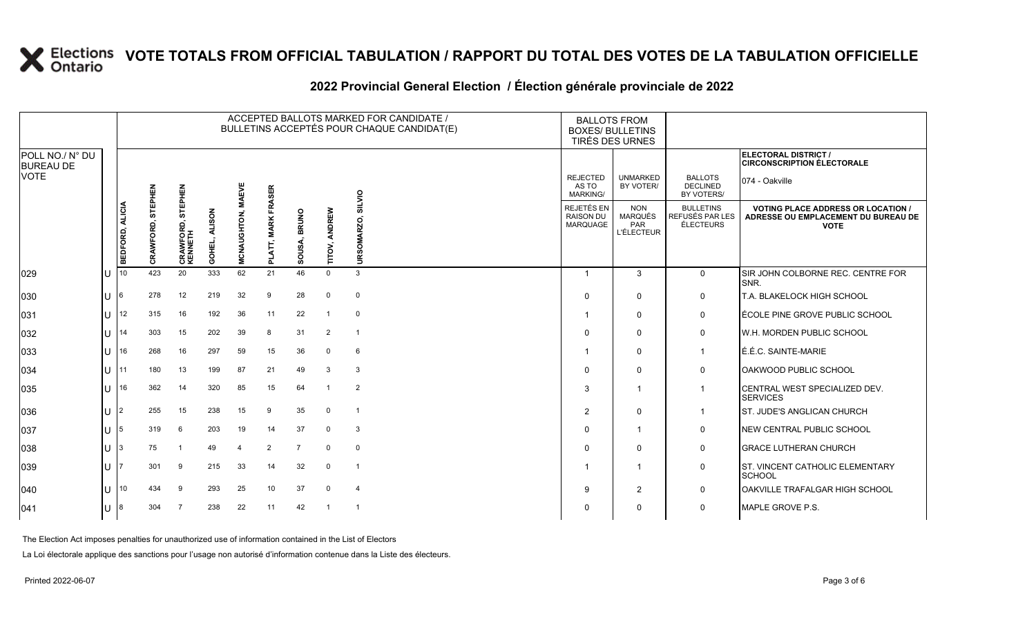# **2022 Provincial General Election / Élection générale provinciale de 2022**

|                                     |    | ACCEPTED BALLOTS MARKED FOR CANDIDATE /<br>BULLETINS ACCEPTÉS POUR CHAQUE CANDIDAT(E) |                |                        |                         |                |                 |                          |                  |                          |  |                                                   | <b>BALLOTS FROM</b><br><b>BOXES/ BULLETINS</b><br>TIRÉS DES URNES |                                                  |                                                                                                 |
|-------------------------------------|----|---------------------------------------------------------------------------------------|----------------|------------------------|-------------------------|----------------|-----------------|--------------------------|------------------|--------------------------|--|---------------------------------------------------|-------------------------------------------------------------------|--------------------------------------------------|-------------------------------------------------------------------------------------------------|
| POLL NO./ N° DU<br><b>BUREAU DE</b> |    |                                                                                       |                |                        |                         |                |                 |                          |                  |                          |  |                                                   |                                                                   |                                                  | ELECTORAL DISTRICT /<br><b>CIRCONSCRIPTION ÉLECTORALE</b>                                       |
| <b>VOTE</b>                         |    |                                                                                       | <b>STEPHEN</b> | STEPHEN                |                         | <b>MAEVE</b>   | FRASER          |                          |                  | SILVIO                   |  | <b>REJECTED</b><br>AS TO<br><b>MARKING/</b>       | <b>UNMARKED</b><br>BY VOTER/                                      | <b>BALLOTS</b><br><b>DECLINED</b><br>BY VOTERS/  | 074 - Oakville                                                                                  |
|                                     |    | BEDFORD, ALICIA                                                                       | CRAWFORD,      | CRAWFORD, S<br>KENNETH | <b>ALISON</b><br>GOHEL, | MCNAUGHTON,    | <b>MARK</b>     | <b>BRUNO</b><br>ર્જ<br>3 | ANDREW<br>TITOV, | OMARZO,<br>URS           |  | REJETÉS EN<br><b>RAISON DU</b><br><b>MARQUAGE</b> | <b>NON</b><br><b>MARQUÉS</b><br>PAR<br><b>L'ÉLECTEUR</b>          | <b>BULLETINS</b><br>REFUSÉS PAR LES<br>ÉLECTEURS | <b>VOTING PLACE ADDRESS OR LOCATION /</b><br>ADRESSE OU EMPLACEMENT DU BUREAU DE<br><b>VOTE</b> |
| 029                                 | lu | 10                                                                                    | 423            | 20                     | 333                     | 62             | $\Omega$<br>21  | ø<br>46                  | $\Omega$         | $\mathbf{3}$             |  |                                                   | 3                                                                 | $\mathbf 0$                                      | SIR JOHN COLBORNE REC. CENTRE FOR                                                               |
|                                     |    |                                                                                       |                |                        |                         |                |                 |                          |                  |                          |  |                                                   |                                                                   |                                                  | SNR.                                                                                            |
| 030                                 | Iп | 6                                                                                     | 278            | 12                     | 219                     | 32             | 9               | 28                       | $\mathbf 0$      | 0                        |  | $\Omega$                                          | $\mathbf 0$                                                       | $\mathbf 0$                                      | <b>T.A. BLAKELOCK HIGH SCHOOL</b>                                                               |
| 031                                 | lu | 12                                                                                    | 315            | 16                     | 192                     | 36             | 11              | 22                       | -1               | $\mathbf 0$              |  |                                                   | $\mathbf 0$                                                       | 0                                                | ÉCOLE PINE GROVE PUBLIC SCHOOL                                                                  |
| 032                                 | lu | 14                                                                                    | 303            | 15                     | 202                     | 39             | 8               | 31                       | $\overline{2}$   | $\overline{1}$           |  |                                                   | $\mathbf 0$                                                       | $\mathbf 0$                                      | W.H. MORDEN PUBLIC SCHOOL                                                                       |
| 033                                 | lu | 16                                                                                    | 268            | 16                     | 297                     | 59             | 15              | 36                       | $\mathbf 0$      | 6                        |  |                                                   | $\mathbf 0$                                                       | $\mathbf{1}$                                     | É.É.C. SAINTE-MARIE                                                                             |
| 034                                 | lu | 11                                                                                    | 180            | 13                     | 199                     | 87             | 21              | 49                       | 3                | 3                        |  | <sup>0</sup>                                      | $\mathbf 0$                                                       | 0                                                | OAKWOOD PUBLIC SCHOOL                                                                           |
| 035                                 | lu | 16                                                                                    | 362            | 14                     | 320                     | 85             | 15              | 64                       |                  | $\overline{2}$           |  | 3                                                 |                                                                   | $\overline{1}$                                   | CENTRAL WEST SPECIALIZED DEV.<br><b>SERVICES</b>                                                |
| 036                                 | lu | $\overline{2}$                                                                        | 255            | 15                     | 238                     | 15             | 9               | 35                       | $\mathbf 0$      | $\overline{\mathbf{1}}$  |  | 2                                                 | $\mathbf 0$                                                       | $\mathbf{1}$                                     | <b>ST. JUDE'S ANGLICAN CHURCH</b>                                                               |
| 037                                 | lu | 5                                                                                     | 319            | 6                      | 203                     | 19             | 14              | 37                       | $\mathbf 0$      | 3                        |  | $\Omega$                                          | -1                                                                | 0                                                | NEW CENTRAL PUBLIC SCHOOL                                                                       |
| 038                                 | lu |                                                                                       | 75             |                        | 49                      | $\overline{4}$ | 2               | $\overline{7}$           | $\Omega$         | $\mathbf 0$              |  | $\Omega$                                          | $\mathbf 0$                                                       | 0                                                | <b>GRACE LUTHERAN CHURCH</b>                                                                    |
| 039                                 | IU |                                                                                       | 301            | -9                     | 215                     | 33             | 14              | 32                       | $\mathbf 0$      | -1                       |  |                                                   |                                                                   | 0                                                | ST. VINCENT CATHOLIC ELEMENTARY<br>SCHOOL                                                       |
| 040                                 | lu | 10                                                                                    | 434            | 9                      | 293                     | 25             | 10 <sup>°</sup> | 37                       | $\mathbf 0$      | $\overline{4}$           |  | $\mathbf{Q}$                                      | $\overline{2}$                                                    | $\mathbf 0$                                      | OAKVILLE TRAFALGAR HIGH SCHOOL                                                                  |
| 041                                 | lu |                                                                                       | 304            | $\overline{7}$         | 238                     | 22             | 11              | 42                       | $\overline{1}$   | $\overline{\phantom{0}}$ |  | O                                                 | $\mathbf 0$                                                       | 0                                                | MAPLE GROVE P.S.                                                                                |

The Election Act imposes penalties for unauthorized use of information contained in the List of Electors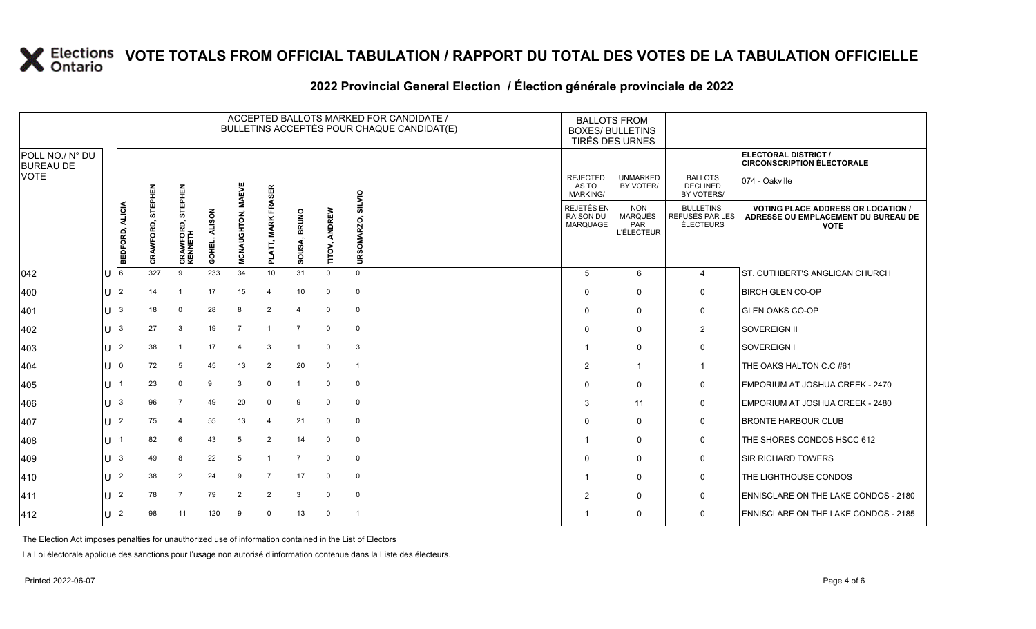#### **2022 Provincial General Election / Élection générale provinciale de 2022**

|                                     |              |                 | ACCEPTED BALLOTS MARKED FOR CANDIDATE /<br>BULLETINS ACCEPTÉS POUR CHAQUE CANDIDAT(E) |                        |                         |                |                       |                        |               |                |  |                                                   | <b>BALLOTS FROM</b><br><b>BOXES/ BULLETINS</b><br>TIRÉS DES URNES |                                                  |                                                                                                 |
|-------------------------------------|--------------|-----------------|---------------------------------------------------------------------------------------|------------------------|-------------------------|----------------|-----------------------|------------------------|---------------|----------------|--|---------------------------------------------------|-------------------------------------------------------------------|--------------------------------------------------|-------------------------------------------------------------------------------------------------|
| POLL NO./ N° DU<br><b>BUREAU DE</b> |              |                 |                                                                                       |                        |                         |                |                       |                        |               |                |  |                                                   |                                                                   |                                                  | ELECTORAL DISTRICT /<br><b>CIRCONSCRIPTION ÉLECTORALE</b>                                       |
| <b>VOTE</b>                         |              |                 | <b>STEPHEN</b>                                                                        | STEPHEN                |                         | <b>MAEVE</b>   | <b>FRASER</b>         |                        |               | SILVIO         |  | <b>REJECTED</b><br>AS TO<br>MARKING/              | <b>UNMARKED</b><br>BY VOTER/                                      | <b>BALLOTS</b><br><b>DECLINED</b><br>BY VOTERS/  | 074 - Oakville                                                                                  |
|                                     |              | BEDFORD, ALICIA | CRAWFORD,                                                                             | CRAWFORD, S<br>KENNETH | <b>ALISON</b><br>GOHEL, | MCNAUGHTON,    | <b>MARK</b><br>PLATT, | <b>BRUNO</b><br>SOUSA, | TITOV, ANDREW | URSOMARZO,     |  | <b>REJETÉS EN</b><br><b>RAISON DU</b><br>MARQUAGE | <b>NON</b><br>MARQUÉS<br>PAR<br><b>L'ÉLECTEUR</b>                 | <b>BULLETINS</b><br>REFUSÉS PAR LES<br>ÉLECTEURS | <b>VOTING PLACE ADDRESS OR LOCATION /</b><br>ADRESSE OU EMPLACEMENT DU BUREAU DE<br><b>VOTE</b> |
| $ 042\rangle$                       | U            |                 | 327                                                                                   | 9                      | 233                     | 34             | 10                    | 31                     | $\mathbf 0$   | $\mathbf{0}$   |  | 5                                                 | 6                                                                 | $\overline{4}$                                   | ST. CUTHBERT'S ANGLICAN CHURCH                                                                  |
| 400                                 | U            | $\overline{2}$  | 14                                                                                    | -1                     | 17                      | 15             | $\overline{4}$        | 10                     | $\Omega$      | $\Omega$       |  | 0                                                 | $\Omega$                                                          | $\mathbf 0$                                      | <b>BIRCH GLEN CO-OP</b>                                                                         |
| 401                                 | U            | 3               | 18                                                                                    | $\mathbf 0$            | 28                      | 8              | 2                     | 4                      | $\Omega$      | $\mathbf 0$    |  | $\Omega$                                          | $\Omega$                                                          | 0                                                | <b>GLEN OAKS CO-OP</b>                                                                          |
| 402                                 | $\mathbf{H}$ | 3               | 27                                                                                    | 3                      | 19                      | $\overline{7}$ | $\overline{1}$        | $\overline{7}$         | $\Omega$      | 0              |  | $\Omega$                                          | $\Omega$                                                          | $\overline{2}$                                   | SOVEREIGN II                                                                                    |
| 403                                 | U            | $\overline{2}$  | 38                                                                                    | -1                     | 17                      | $\overline{4}$ | 3                     | $\mathbf{1}$           | $\Omega$      | 3              |  |                                                   | $\Omega$                                                          | 0                                                | <b>SOVEREIGN I</b>                                                                              |
| 404                                 | U            | $\Omega$        | 72                                                                                    | 5                      | 45                      | 13             | $\overline{2}$        | 20                     | 0             | $\overline{1}$ |  | $\overline{2}$                                    | -1                                                                | $\mathbf{1}$                                     | THE OAKS HALTON C.C #61                                                                         |
| 405                                 | ΠT           |                 | 23                                                                                    | $\mathbf 0$            | 9                       | 3              | $\Omega$              | $\mathbf{1}$           | $\Omega$      | $\mathbf 0$    |  | $\Omega$                                          | $\Omega$                                                          | $\mathbf 0$                                      | EMPORIUM AT JOSHUA CREEK - 2470                                                                 |
| 406                                 | ΠL           | 3               | 96                                                                                    | $\overline{7}$         | 49                      | 20             | $\Omega$              | 9                      | $\Omega$      | $\mathbf 0$    |  | 3                                                 | 11                                                                | $\mathbf 0$                                      | EMPORIUM AT JOSHUA CREEK - 2480                                                                 |
| 407                                 | ΠL           | $\overline{2}$  | 75                                                                                    | 4                      | 55                      | 13             | $\overline{4}$        | 21                     | $\mathbf 0$   | $\mathbf 0$    |  | $\Omega$                                          | $\Omega$                                                          | $\mathbf 0$                                      | <b>BRONTE HARBOUR CLUB</b>                                                                      |
| 408                                 | ΠT           |                 | 82                                                                                    | 6                      | 43                      | 5              | 2                     | 14                     | $\Omega$      | 0              |  | -1                                                | $\Omega$                                                          | $\mathbf 0$                                      | THE SHORES CONDOS HSCC 612                                                                      |
| 409                                 | $\mathbf{U}$ | 3               | 49                                                                                    | 8                      | 22                      | 5              |                       | $\overline{7}$         | $\Omega$      | $\mathbf 0$    |  | $\Omega$                                          | $\Omega$                                                          | 0                                                | <b>SIR RICHARD TOWERS</b>                                                                       |
| 410                                 | ΠL           | $\overline{2}$  | 38                                                                                    | 2                      | 24                      | 9              | $\overline{7}$        | 17                     | $\mathbf 0$   | $\mathbf 0$    |  |                                                   | $\Omega$                                                          | 0                                                | THE LIGHTHOUSE CONDOS                                                                           |
| 411                                 | ΠL           | $\overline{2}$  | 78                                                                                    | $\overline{7}$         | 79                      | $\overline{2}$ | 2                     | 3                      | $\Omega$      | $\mathbf 0$    |  | $\overline{2}$                                    | $\Omega$                                                          | 0                                                | ENNISCLARE ON THE LAKE CONDOS - 2180                                                            |
| 412                                 | $\mathbf{U}$ | 2               | 98                                                                                    | 11                     | 120                     | 9              | $\Omega$              | 13                     | $\Omega$      | $\overline{1}$ |  |                                                   | $\Omega$                                                          | $\mathbf 0$                                      | <b>ENNISCLARE ON THE LAKE CONDOS - 2185</b>                                                     |

The Election Act imposes penalties for unauthorized use of information contained in the List of Electors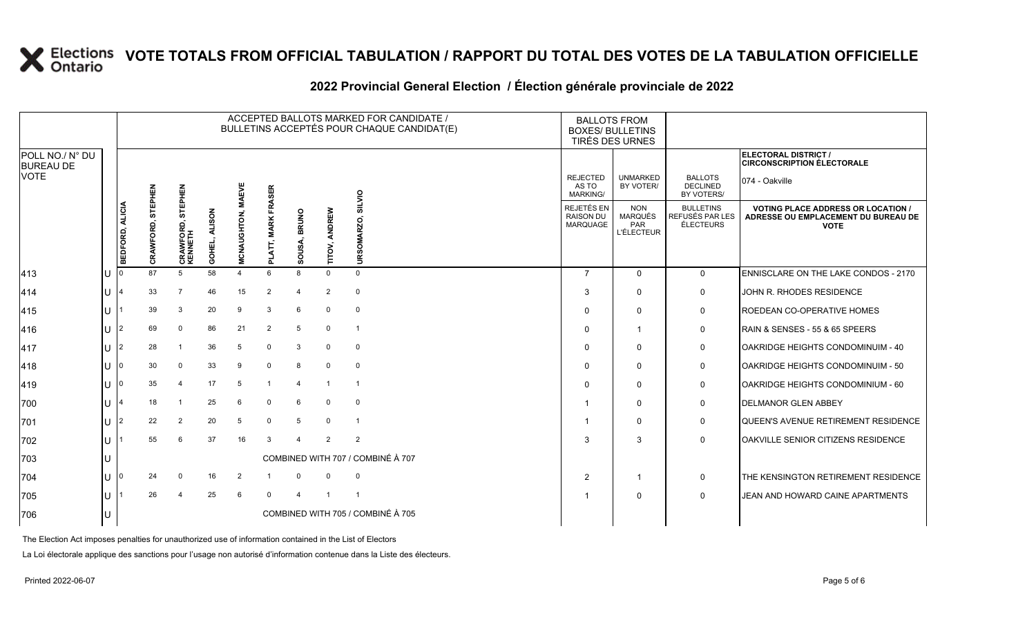#### **2022 Provincial General Election / Élection générale provinciale de 2022**

|                                     |                 |                      |                                   |                         |                   |                               |                         |                         | ACCEPTED BALLOTS MARKED FOR CANDIDATE /<br>BULLETINS ACCEPTÉS POUR CHAQUE CANDIDAT(E) |                                                   | <b>BALLOTS FROM</b><br><b>BOXES/ BULLETINS</b><br>TIRÉS DES URNES |                                                  |                                                                                                 |
|-------------------------------------|-----------------|----------------------|-----------------------------------|-------------------------|-------------------|-------------------------------|-------------------------|-------------------------|---------------------------------------------------------------------------------------|---------------------------------------------------|-------------------------------------------------------------------|--------------------------------------------------|-------------------------------------------------------------------------------------------------|
| POLL NO./ N° DU<br><b>BUREAU DE</b> |                 |                      |                                   |                         |                   |                               |                         |                         |                                                                                       |                                                   |                                                                   |                                                  | <b>ELECTORAL DISTRICT /</b><br><b>CIRCONSCRIPTION ÉLECTORALE</b>                                |
| <b>VOTE</b>                         |                 |                      |                                   |                         |                   | FRASER                        |                         |                         |                                                                                       | <b>REJECTED</b><br>AS TO<br>MARKING/              | <b>UNMARKED</b><br>BY VOTER/                                      | <b>BALLOTS</b><br><b>DECLINED</b><br>BY VOTERS/  | 074 - Oakville                                                                                  |
|                                     | BEDFORD, ALICIA | STEPHEN<br>CRAWFORD, | STEPHEN<br>CRAWFORD, 9<br>KENNETH | <b>ALISON</b><br>GOHEL, | MCNAUGHTON, MAEVE | <b>MARK</b><br>$\overline{a}$ | <b>BRUNO</b><br>న్<br>ഗ | ANDREW<br><b>TITOV,</b> | SILVIO<br>δŚ<br>RS <sub>i</sub><br>Б                                                  | REJETÉS EN<br><b>RAISON DU</b><br><b>MARQUAGE</b> | <b>NON</b><br><b>MARQUÉS</b><br>PAR<br><b>L'ÉLECTEUR</b>          | <b>BULLETINS</b><br>REFUSÉS PAR LES<br>ÉLECTEURS | <b>VOTING PLACE ADDRESS OR LOCATION /</b><br>ADRESSE OU EMPLACEMENT DU BUREAU DE<br><b>VOTE</b> |
| 413                                 |                 | 87                   | 5                                 | 58                      | 4                 | 6                             | 8                       | $\Omega$                | $\Omega$                                                                              | $\overline{7}$                                    | $\Omega$                                                          | $\mathbf{0}$                                     | ENNISCLARE ON THE LAKE CONDOS - 2170                                                            |
| 414                                 |                 | 33                   |                                   | 46                      | 15                | $\overline{2}$                | $\overline{4}$          | $\overline{2}$          | $\mathbf 0$                                                                           | 3                                                 | $\Omega$                                                          | 0                                                | JOHN R. RHODES RESIDENCE                                                                        |
| 415                                 |                 | 39                   | 3                                 | 20                      | 9                 | 3                             | 6                       | $\Omega$                | $\mathbf{0}$                                                                          | $\Omega$                                          | $\mathbf{0}$                                                      | 0                                                | ROEDEAN CO-OPERATIVE HOMES                                                                      |
| 416                                 |                 | 69                   | $\Omega$                          | 86                      | 21                | $\overline{2}$                | 5                       | $\mathbf 0$             | $\overline{\mathbf{1}}$                                                               | $\Omega$                                          | $\mathbf{1}$                                                      | $\mathbf 0$                                      | RAIN & SENSES - 55 & 65 SPEERS                                                                  |
| 417                                 |                 | 28                   |                                   | 36                      | 5                 | $\mathbf 0$                   | 3                       | $\mathbf 0$             | $\mathbf{0}$                                                                          | $\Omega$                                          | $\mathbf{0}$                                                      | 0                                                | OAKRIDGE HEIGHTS CONDOMINUIM - 40                                                               |
| 418                                 |                 | 30                   | $\mathbf 0$                       | 33                      | 9                 | $\mathbf 0$                   | 8                       | $\mathbf 0$             | $\mathbf 0$                                                                           | $\Omega$                                          | $\Omega$                                                          | 0                                                | OAKRIDGE HEIGHTS CONDOMINUIM - 50                                                               |
| 419                                 |                 | 35                   |                                   | 17                      | 5                 |                               | $\overline{4}$          |                         | $\overline{1}$                                                                        | $\Omega$                                          | $\Omega$                                                          | 0                                                | <b>OAKRIDGE HEIGHTS CONDOMINIUM - 60</b>                                                        |
| 700                                 |                 | 18                   |                                   | 25                      | 6                 | $\mathbf 0$                   | 6                       | $\Omega$                | 0                                                                                     |                                                   | $\Omega$                                                          | $\mathbf 0$                                      | <b>IDELMANOR GLEN ABBEY</b>                                                                     |
| 701                                 |                 | 22                   | $\overline{2}$                    | 20                      | 5                 | $\Omega$                      | 5                       | $\Omega$                | -1                                                                                    |                                                   | $\Omega$                                                          | 0                                                | QUEEN'S AVENUE RETIREMENT RESIDENCE                                                             |
| 702                                 |                 | 55                   | 6                                 | 37                      | 16                | 3                             | $\Delta$                | $\mathcal{P}$           | 2                                                                                     | 3                                                 | 3                                                                 | $\mathbf 0$                                      | OAKVILLE SENIOR CITIZENS RESIDENCE                                                              |
| 703                                 |                 |                      |                                   |                         |                   |                               |                         |                         | COMBINED WITH 707 / COMBINÉ À 707                                                     |                                                   |                                                                   |                                                  |                                                                                                 |
| 704                                 |                 | 24                   | $\Omega$                          | 16                      | 2                 |                               | $\Omega$                | $\Omega$                | $\mathbf{0}$                                                                          | $\overline{2}$                                    | $\mathbf{1}$                                                      | 0                                                | THE KENSINGTON RETIREMENT RESIDENCE                                                             |
| 705                                 |                 | 26                   |                                   | 25                      | 6                 | $\Omega$                      | $\Delta$                |                         |                                                                                       |                                                   | $\Omega$                                                          | $\mathbf 0$                                      | JEAN AND HOWARD CAINE APARTMENTS                                                                |
| 706                                 |                 |                      |                                   |                         |                   |                               |                         |                         | COMBINED WITH 705 / COMBINÉ À 705                                                     |                                                   |                                                                   |                                                  |                                                                                                 |

The Election Act imposes penalties for unauthorized use of information contained in the List of Electors